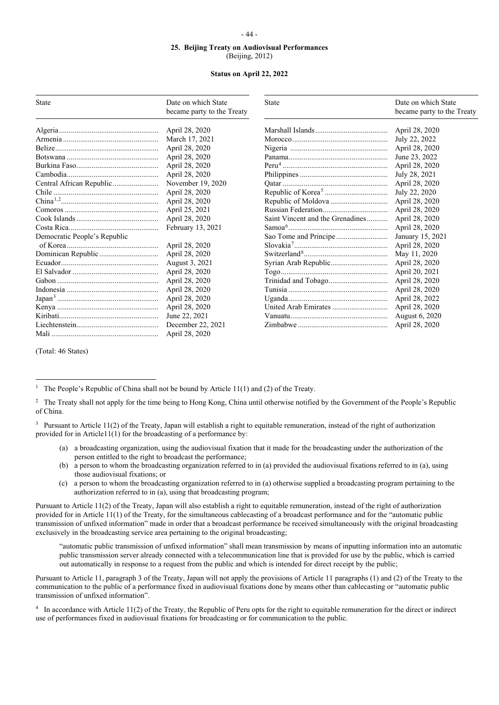## **25. Beijing Treaty on Audiovisual Performances** (Beijing, 2012)

## **Status on April 22, 2022**

| <b>State</b>                 | Date on which State<br>became party to the Treaty | <b>State</b>                     | Date on which State<br>became party to the Treaty |
|------------------------------|---------------------------------------------------|----------------------------------|---------------------------------------------------|
|                              | April 28, 2020                                    |                                  | April 28, 2020                                    |
|                              | March 17, 2021                                    |                                  | July 22, 2022                                     |
|                              | April 28, 2020                                    |                                  | April 28, 2020                                    |
|                              | April 28, 2020                                    |                                  | June 23, 2022                                     |
|                              | April 28, 2020                                    |                                  | April 28, 2020                                    |
|                              | April 28, 2020                                    |                                  | July 28, 2021                                     |
| Central African Republic     | November 19, 2020                                 |                                  | April 28, 2020                                    |
|                              | April 28, 2020                                    |                                  | July 22, 2020                                     |
| China <sup>1,2</sup>         | April 28, 2020                                    |                                  | April 28, 2020                                    |
|                              | April 25, 2021                                    |                                  | April 28, 2020                                    |
|                              | April 28, 2020                                    | Saint Vincent and the Grenadines | April 28, 2020                                    |
|                              | February 13, 2021                                 |                                  | April 28, 2020                                    |
| Democratic People's Republic |                                                   |                                  | January 15, 2021                                  |
|                              | April 28, 2020                                    | $Slovakia7$                      | April 28, 2020                                    |
|                              | April 28, 2020                                    |                                  | May 11, 2020                                      |
|                              | August 3, 2021                                    |                                  | April 28, 2020                                    |
|                              | April 28, 2020                                    |                                  | April 20, 2021                                    |
|                              | April 28, 2020                                    |                                  | April 28, 2020                                    |
|                              | April 28, 2020                                    |                                  | April 28, 2020                                    |
|                              | April 28, 2020                                    |                                  | April 28, 2022                                    |
|                              | April 28, 2020                                    |                                  | April 28, 2020                                    |
|                              | June 22, 2021                                     |                                  | August 6, 2020                                    |
|                              | December 22, 2021                                 |                                  | April 28, 2020                                    |
|                              | April 28, 2020                                    |                                  |                                                   |

(Total: 46 States)

- (a) a broadcasting organization, using the audiovisual fixation that it made for the broadcasting under the authorization of the person entitled to the right to broadcast the performance;
- (b) a person to whom the broadcasting organization referred to in (a) provided the audiovisual fixations referred to in (a), using those audiovisual fixations; or
- (c) a person to whom the broadcasting organization referred to in (a) otherwise supplied a broadcasting program pertaining to the authorization referred to in (a), using that broadcasting program;

Pursuant to Article 11(2) of the Treaty, Japan will also establish a right to equitable remuneration, instead of the right of authorization provided for in Article 11(1) of the Treaty, for the simultaneous cablecasting of a broadcast performance and for the "automatic public transmission of unfixed information" made in order that a broadcast performance be received simultaneously with the original broadcasting exclusively in the broadcasting service area pertaining to the original broadcasting;

"automatic public transmission of unfixed information" shall mean transmission by means of inputting information into an automatic public transmission server already connected with a telecommunication line that is provided for use by the public, which is carried out automatically in response to a request from the public and which is intended for direct receipt by the public;

Pursuant to Article 11, paragraph 3 of the Treaty, Japan will not apply the provisions of Article 11 paragraphs (1) and (2) of the Treaty to the communication to the public of a performance fixed in audiovisual fixations done by means other than cablecasting or "automatic public transmission of unfixed information".

<span id="page-0-3"></span><sup>4</sup> In accordance with Article 11(2) of the Treaty, the Republic of Peru opts for the right to equitable remuneration for the direct or indirect use of performances fixed in audiovisual fixations for broadcasting or for communication to the public.

## - 44 -

<span id="page-0-0"></span><sup>&</sup>lt;sup>1</sup> The People's Republic of China shall not be bound by Article 11(1) and (2) of the Treaty.

<span id="page-0-1"></span><sup>&</sup>lt;sup>2</sup> The Treaty shall not apply for the time being to Hong Kong, China until otherwise notified by the Government of the People's Republic of China.

<span id="page-0-2"></span><sup>&</sup>lt;sup>3</sup> Pursuant to Article 11(2) of the Treaty, Japan will establish a right to equitable remuneration, instead of the right of authorization provided for in Article11(1) for the broadcasting of a performance by: